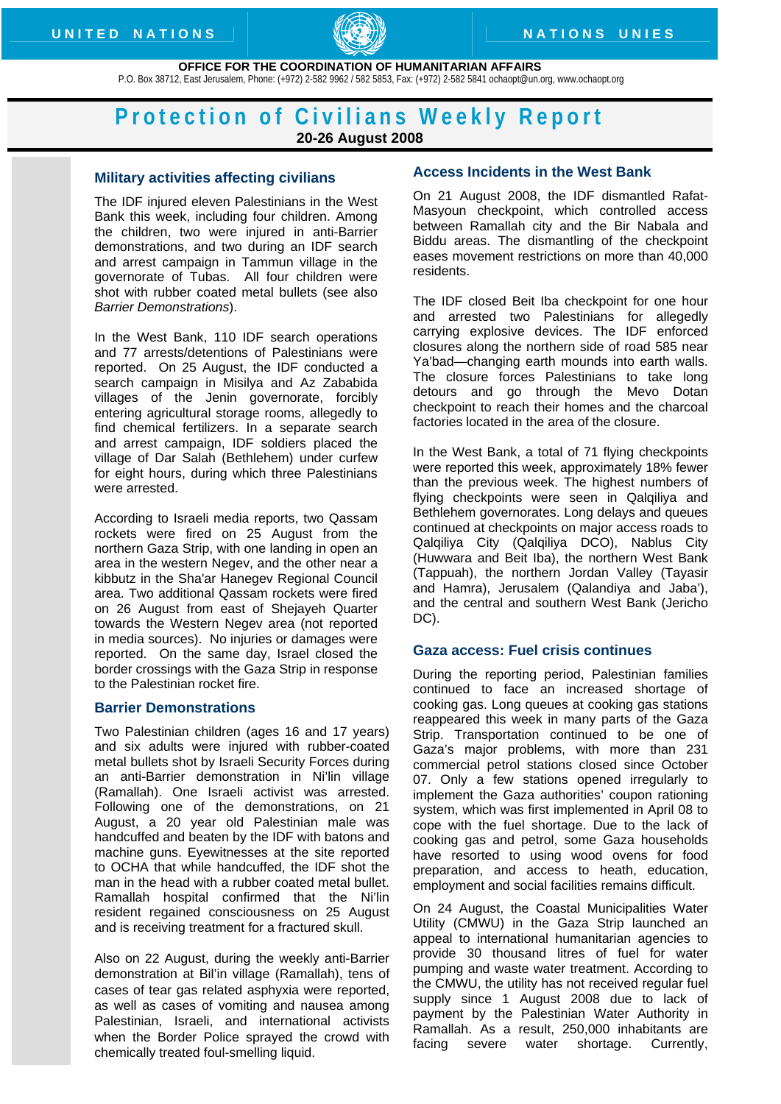

 **OFFICE FOR THE COORDINATION OF HUMANITARIAN AFFAIRS**  P.O. Box 38712, East Jerusalem, Phone: (+972) 2-582 9962 / 582 5853, Fax: (+972) 2-582 5841 [ochaopt@un.org,](mailto:ochaopt@un.org) [www.ochaopt.org](http://www.ochaopt.org/) 

# **Protection of Civilians Weekly Report 20-26 August 2008**

## **Military activities affecting civilians**

The IDF injured eleven Palestinians in the West Bank this week, including four children. Among the children, two were injured in anti-Barrier demonstrations, and two during an IDF search and arrest campaign in Tammun village in the governorate of Tubas. All four children were shot with rubber coated metal bullets (see also *Barrier Demonstrations*).

In the West Bank, 110 IDF search operations and 77 arrests/detentions of Palestinians were reported. On 25 August, the IDF conducted a search campaign in Misilya and Az Zababida villages of the Jenin governorate, forcibly entering agricultural storage rooms, allegedly to find chemical fertilizers. In a separate search and arrest campaign, IDF soldiers placed the village of Dar Salah (Bethlehem) under curfew for eight hours, during which three Palestinians were arrested.

According to Israeli media reports, two Qassam rockets were fired on 25 August from the northern Gaza Strip, with one landing in open an area in the western Negev, and the other near a kibbutz in the Sha'ar Hanegev Regional Council area. Two additional Qassam rockets were fired on 26 August from east of Shejayeh Quarter towards the Western Negev area (not reported in media sources). No injuries or damages were reported. On the same day, Israel closed the border crossings with the Gaza Strip in response to the Palestinian rocket fire.

## **Barrier Demonstrations**

Two Palestinian children (ages 16 and 17 years) and six adults were injured with rubber-coated metal bullets shot by Israeli Security Forces during an anti-Barrier demonstration in Ni'lin village (Ramallah). One Israeli activist was arrested. Following one of the demonstrations, on 21 August, a 20 year old Palestinian male was handcuffed and beaten by the IDF with batons and machine guns. Eyewitnesses at the site reported to OCHA that while handcuffed, the IDF shot the man in the head with a rubber coated metal bullet. Ramallah hospital confirmed that the Ni'lin resident regained consciousness on 25 August and is receiving treatment for a fractured skull.

Also on 22 August, during the weekly anti-Barrier demonstration at Bil'in village (Ramallah), tens of cases of tear gas related asphyxia were reported, as well as cases of vomiting and nausea among Palestinian, Israeli, and international activists when the Border Police sprayed the crowd with chemically treated foul-smelling liquid.

## **Access Incidents in the West Bank**

On 21 August 2008, the IDF dismantled Rafat-Masyoun checkpoint, which controlled access between Ramallah city and the Bir Nabala and Biddu areas. The dismantling of the checkpoint eases movement restrictions on more than 40,000 residents.

The IDF closed Beit Iba checkpoint for one hour and arrested two Palestinians for allegedly carrying explosive devices. The IDF enforced closures along the northern side of road 585 near Ya'bad—changing earth mounds into earth walls. The closure forces Palestinians to take long detours and go through the Mevo Dotan checkpoint to reach their homes and the charcoal factories located in the area of the closure.

In the West Bank, a total of 71 flying checkpoints were reported this week, approximately 18% fewer than the previous week. The highest numbers of flying checkpoints were seen in Qalqiliya and Bethlehem governorates. Long delays and queues continued at checkpoints on major access roads to Qalqiliya City (Qalqiliya DCO), Nablus City (Huwwara and Beit Iba), the northern West Bank (Tappuah), the northern Jordan Valley (Tayasir and Hamra), Jerusalem (Qalandiya and Jaba'), and the central and southern West Bank (Jericho DC).

#### **Gaza access: Fuel crisis continues**

During the reporting period, Palestinian families continued to face an increased shortage of cooking gas. Long queues at cooking gas stations reappeared this week in many parts of the Gaza Strip. Transportation continued to be one of Gaza's major problems, with more than 231 commercial petrol stations closed since October 07. Only a few stations opened irregularly to implement the Gaza authorities' coupon rationing system, which was first implemented in April 08 to cope with the fuel shortage. Due to the lack of cooking gas and petrol, some Gaza households have resorted to using wood ovens for food preparation, and access to heath, education, employment and social facilities remains difficult.

On 24 August, the Coastal Municipalities Water Utility (CMWU) in the Gaza Strip launched an appeal to international humanitarian agencies to provide 30 thousand litres of fuel for water pumping and waste water treatment. According to the CMWU, the utility has not received regular fuel supply since 1 August 2008 due to lack of payment by the Palestinian Water Authority in Ramallah. As a result, 250,000 inhabitants are facing severe water shortage. Currently,